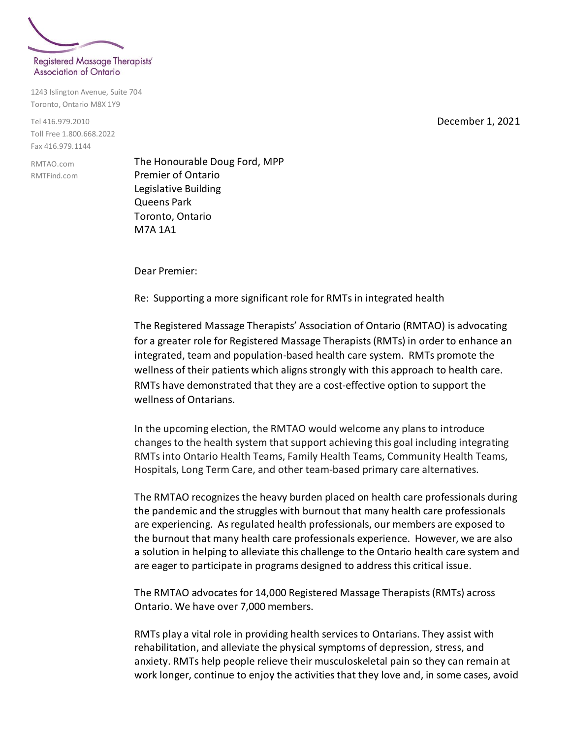

1243 Islington Avenue, Suite 704 Toronto, Ontario M8X 1Y9

Tel 416.979.2010 Toll Free 1.800.668.2022 Fax 416.979.1144

RMTAO.com RMTFind.com The Honourable Doug Ford, MPP Premier of Ontario Legislative Building Queens Park Toronto, Ontario M7A 1A1

Dear Premier:

Re: Supporting a more significant role for RMTs in integrated health

The Registered Massage Therapists' Association of Ontario (RMTAO) is advocating for a greater role for Registered Massage Therapists (RMTs) in order to enhance an integrated, team and population-based health care system.RMTs promote the wellness of their patients which aligns strongly with this approach to health care. RMTs have demonstrated that they are a cost-effective option to support the wellness of Ontarians.

In the upcoming election, the RMTAO would welcome any plans to introduce changes to the health system that support achieving this goal including integrating RMTs into Ontario Health Teams, Family Health Teams, Community Health Teams, Hospitals, Long Term Care, and other team-based primary care alternatives.

The RMTAO recognizes the heavy burden placed on health care professionals during the pandemic and the struggles with burnout that many health care professionals are experiencing. As regulated health professionals, our members are exposed to the burnout that many health care professionals experience. However, we are also a solution in helping to alleviate this challenge to the Ontario health care system and are eager to participate in programs designed to address this critical issue.

The RMTAO advocates for 14,000 Registered Massage Therapists (RMTs) across Ontario. We have over 7,000 members.

RMTs play a vital role in providing health services to Ontarians. They assist with rehabilitation, and alleviate the physical symptoms of depression, stress, and anxiety. RMTs help people relieve their musculoskeletal pain so they can remain at work longer, continue to enjoy the activities that they love and, in some cases, avoid

December 1, 2021